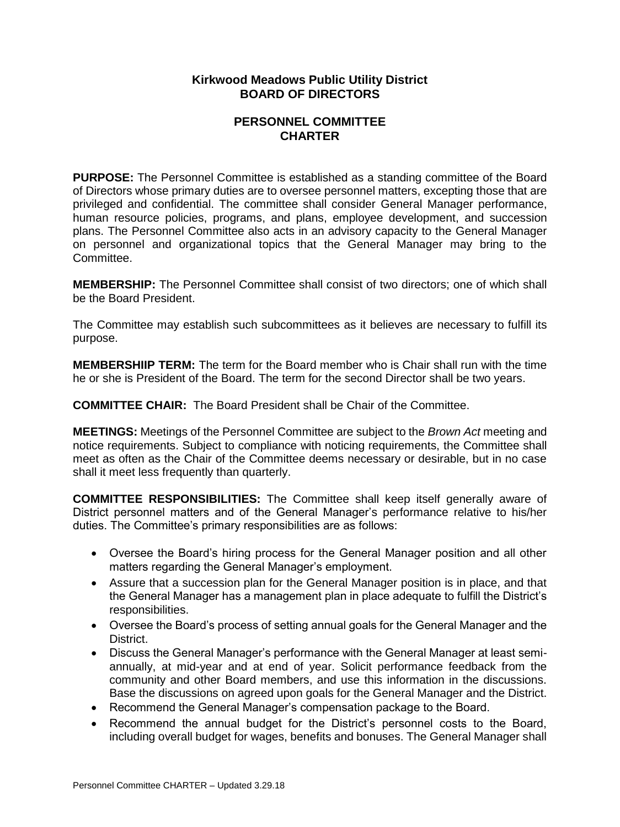## **Kirkwood Meadows Public Utility District BOARD OF DIRECTORS**

## **PERSONNEL COMMITTEE CHARTER**

**PURPOSE:** The Personnel Committee is established as a standing committee of the Board of Directors whose primary duties are to oversee personnel matters, excepting those that are privileged and confidential. The committee shall consider General Manager performance, human resource policies, programs, and plans, employee development, and succession plans. The Personnel Committee also acts in an advisory capacity to the General Manager on personnel and organizational topics that the General Manager may bring to the Committee.

**MEMBERSHIP:** The Personnel Committee shall consist of two directors; one of which shall be the Board President.

The Committee may establish such subcommittees as it believes are necessary to fulfill its purpose.

**MEMBERSHIIP TERM:** The term for the Board member who is Chair shall run with the time he or she is President of the Board. The term for the second Director shall be two years.

**COMMITTEE CHAIR:** The Board President shall be Chair of the Committee.

**MEETINGS:** Meetings of the Personnel Committee are subject to the *Brown Act* meeting and notice requirements. Subject to compliance with noticing requirements, the Committee shall meet as often as the Chair of the Committee deems necessary or desirable, but in no case shall it meet less frequently than quarterly.

**COMMITTEE RESPONSIBILITIES:** The Committee shall keep itself generally aware of District personnel matters and of the General Manager's performance relative to his/her duties. The Committee's primary responsibilities are as follows:

- Oversee the Board's hiring process for the General Manager position and all other matters regarding the General Manager's employment.
- Assure that a succession plan for the General Manager position is in place, and that the General Manager has a management plan in place adequate to fulfill the District's responsibilities.
- Oversee the Board's process of setting annual goals for the General Manager and the District.
- Discuss the General Manager's performance with the General Manager at least semiannually, at mid-year and at end of year. Solicit performance feedback from the community and other Board members, and use this information in the discussions. Base the discussions on agreed upon goals for the General Manager and the District.
- Recommend the General Manager's compensation package to the Board.
- Recommend the annual budget for the District's personnel costs to the Board, including overall budget for wages, benefits and bonuses. The General Manager shall